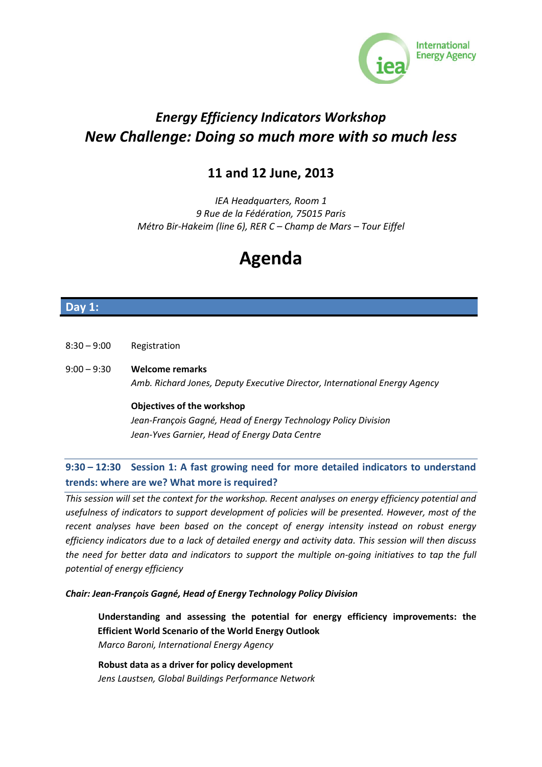

# *Energy Efficiency Indicators Workshop New Challenge: Doing so much more with so much less*

## **11 and 12 June, 2013**

*IEA Headquarters, Room 1 9 Rue de la Fédération, 75015 Paris Métro Bir-Hakeim (line 6), RER C – Champ de Mars – Tour Eiffel*

# **Agenda**

## **Day 1:**

- 8:30 9:00 Registration
- 9:00 9:30 **Welcome remarks** *Amb. Richard Jones, Deputy Executive Director, International Energy Agency*

#### **Objectives of the workshop**

*Jean-François Gagné, Head of Energy Technology Policy Division Jean-Yves Garnier, Head of Energy Data Centre*

## **9:30 – 12:30 Session 1: A fast growing need for more detailed indicators to understand trends: where are we? What more is required?**

*This session will set the context for the workshop. Recent analyses on energy efficiency potential and usefulness of indicators to support development of policies will be presented. However, most of the recent analyses have been based on the concept of energy intensity instead on robust energy efficiency indicators due to a lack of detailed energy and activity data. This session will then discuss the need for better data and indicators to support the multiple on-going initiatives to tap the full potential of energy efficiency*

#### *Chair: Jean-François Gagné, Head of Energy Technology Policy Division*

**Understanding and assessing the potential for energy efficiency improvements: the Efficient World Scenario of the World Energy Outlook**  *Marco Baroni, International Energy Agency*

**Robust data as a driver for policy development**  *Jens Laustsen, Global Buildings Performance Network*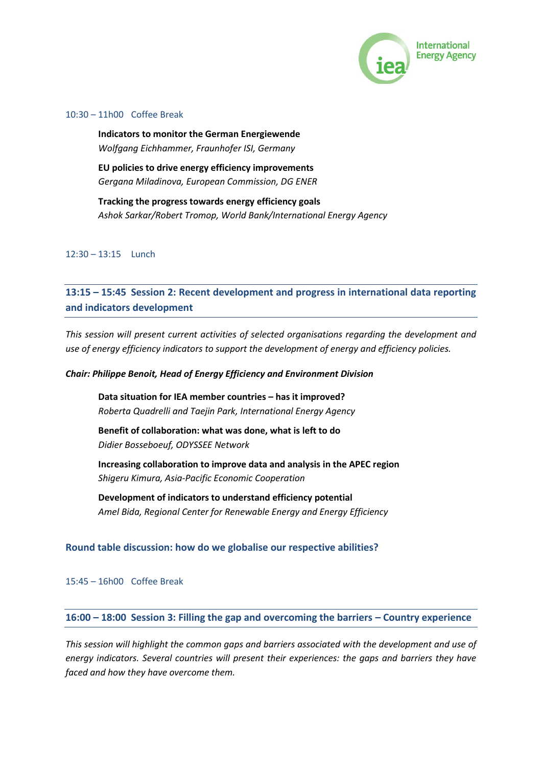

#### 10:30 – 11h00 Coffee Break

**Indicators to monitor the German Energiewende** *Wolfgang Eichhammer, Fraunhofer ISI, Germany*

**EU policies to drive energy efficiency improvements** *Gergana Miladinova, European Commission, DG ENER*

**Tracking the progress towards energy efficiency goals**  *Ashok Sarkar/Robert Tromop, World Bank/International Energy Agency*

#### 12:30 – 13:15 Lunch

**13:15 – 15:45 Session 2: Recent development and progress in international data reporting and indicators development**

*This session will present current activities of selected organisations regarding the development and use of energy efficiency indicators to support the development of energy and efficiency policies.*

#### *Chair: Philippe Benoit, Head of Energy Efficiency and Environment Division*

**Data situation for IEA member countries – has it improved?** *Roberta Quadrelli and Taejin Park, International Energy Agency*

**Benefit of collaboration: what was done, what is left to do** *Didier Bosseboeuf, ODYSSEE Network* 

**Increasing collaboration to improve data and analysis in the APEC region** *Shigeru Kimura, Asia-Pacific Economic Cooperation*

**Development of indicators to understand efficiency potential**  *Amel Bida, Regional Center for Renewable Energy and Energy Efficiency*

#### **Round table discussion: how do we globalise our respective abilities?**

15:45 – 16h00 Coffee Break

## **16:00 – 18:00 Session 3: Filling the gap and overcoming the barriers – Country experience**

*This session will highlight the common gaps and barriers associated with the development and use of energy indicators. Several countries will present their experiences: the gaps and barriers they have faced and how they have overcome them.*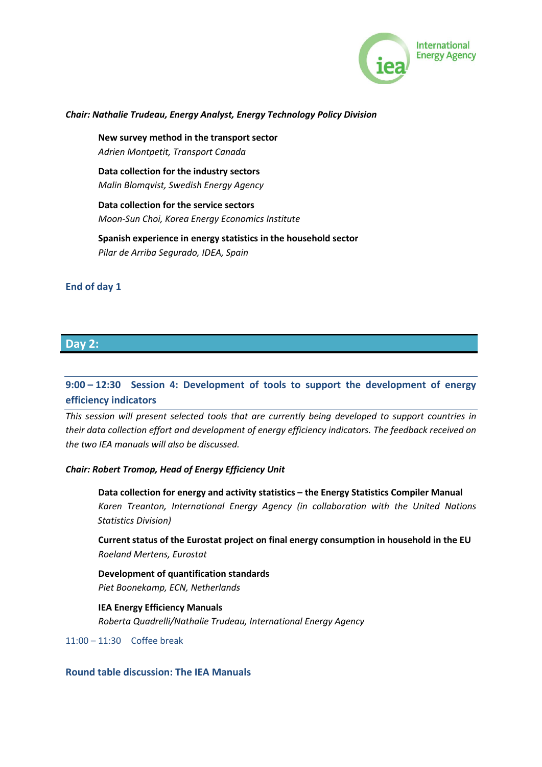

#### *Chair: Nathalie Trudeau, Energy Analyst, Energy Technology Policy Division*

**New survey method in the transport sector** *Adrien Montpetit, Transport Canada*

**Data collection for the industry sectors** *Malin Blomqvist, Swedish Energy Agency*

**Data collection for the service sectors** *Moon-Sun Choi, Korea Energy Economics Institute*

**Spanish experience in energy statistics in the household sector** *Pilar de Arriba Segurado, IDEA, Spain*

## **End of day 1**

#### **Day 2:**

## **9:00 – 12:30 Session 4: Development of tools to support the development of energy efficiency indicators**

*This session will present selected tools that are currently being developed to support countries in their data collection effort and development of energy efficiency indicators. The feedback received on the two IEA manuals will also be discussed.*

#### *Chair: Robert Tromop, Head of Energy Efficiency Unit*

**Data collection for energy and activity statistics – the Energy Statistics Compiler Manual** *Karen Treanton, International Energy Agency (in collaboration with the United Nations Statistics Division)*

**Current status of the Eurostat project on final energy consumption in household in the EU** *Roeland Mertens, Eurostat*

**Development of quantification standards**  *Piet Boonekamp, ECN, Netherlands*

**IEA Energy Efficiency Manuals**  *Roberta Quadrelli/Nathalie Trudeau, International Energy Agency*

11:00 – 11:30 Coffee break

**Round table discussion: The IEA Manuals**